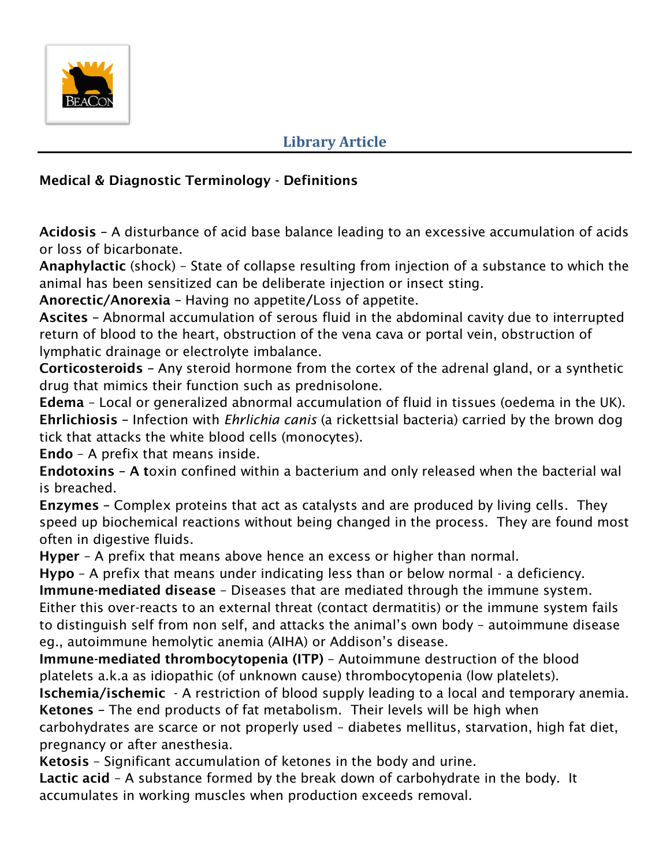

## **Library Article**

## **Medical & Diagnostic Terminology - Definitions**

**Acidosis –** A disturbance of acid base balance leading to an excessive accumulation of acids or loss of bicarbonate.

**Anaphylactic** (shock) – State of collapse resulting from injection of a substance to which the animal has been sensitized can be deliberate injection or insect sting.

**Anorectic/Anorexia –** Having no appetite**/**Loss of appetite.

**Ascites –** Abnormal accumulation of serous fluid in the abdominal cavity due to interrupted return of blood to the heart, obstruction of the vena cava or portal vein, obstruction of lymphatic drainage or electrolyte imbalance.

**Corticosteroids –** Any steroid hormone from the cortex of the adrenal gland, or a synthetic drug that mimics their function such as prednisolone.

**Edema** – Local or generalized abnormal accumulation of fluid in tissues (oedema in the UK). **Ehrlichiosis –** Infection with *Ehrlichia canis* (a rickettsial bacteria) carried by the brown dog tick that attacks the white blood cells (monocytes).

**Endo** – A prefix that means inside.

**Endotoxins – A t**oxin confined within a bacterium and only released when the bacterial wal is breached.

**Enzymes –** Complex proteins that act as catalysts and are produced by living cells. They speed up biochemical reactions without being changed in the process. They are found most often in digestive fluids.

**Hyper** – A prefix that means above hence an excess or higher than normal.

**Hypo** – A prefix that means under indicating less than or below normal - a deficiency.

**Immune-mediated disease** – Diseases that are mediated through the immune system. Either this over-reacts to an external threat (contact dermatitis) or the immune system fails to distinguish self from non self, and attacks the animal's own body – autoimmune disease eg., autoimmune hemolytic anemia (AIHA) or Addison's disease.

**Immune-mediated thrombocytopenia (ITP)** – Autoimmune destruction of the blood platelets a.k.a as idiopathic (of unknown cause) thrombocytopenia (low platelets).

**Ischemia/ischemic** - A restriction of blood supply leading to a local and temporary anemia. **Ketones –** The end products of fat metabolism.Their levels will be high when carbohydrates are scarce or not properly used – diabetes mellitus, starvation, high fat diet,

pregnancy or after anesthesia.

**Ketosis** – Significant accumulation of ketones in the body and urine.

**Lactic acid** – A substance formed by the break down of carbohydrate in the body. It accumulates in working muscles when production exceeds removal.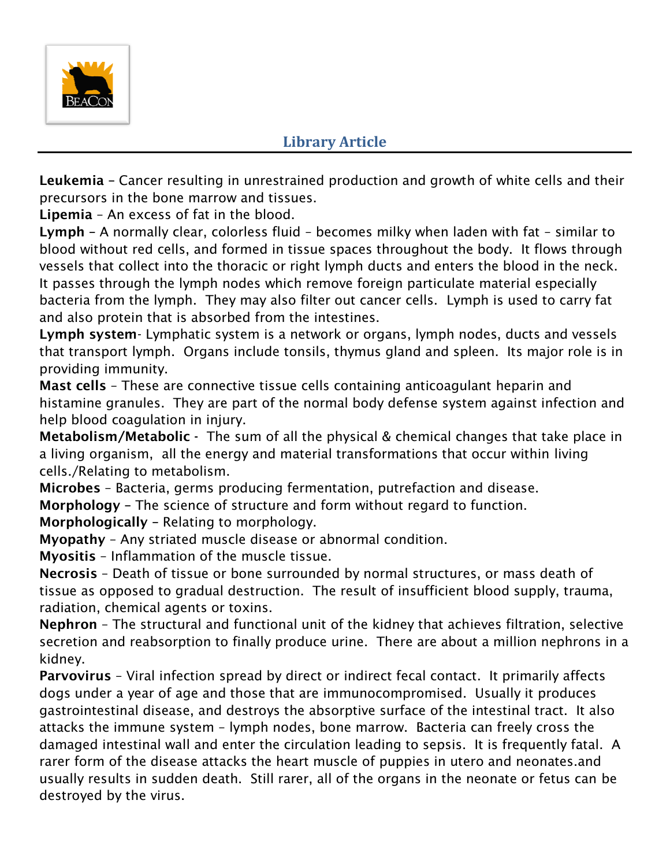

## **Library Article**

**Leukemia –** Cancer resulting in unrestrained production and growth of white cells and their precursors in the bone marrow and tissues.

**Lipemia** – An excess of fat in the blood.

**Lymph –** A normally clear, colorless fluid – becomes milky when laden with fat – similar to blood without red cells, and formed in tissue spaces throughout the body. It flows through vessels that collect into the thoracic or right lymph ducts and enters the blood in the neck. It passes through the lymph nodes which remove foreign particulate material especially bacteria from the lymph. They may also filter out cancer cells. Lymph is used to carry fat and also protein that is absorbed from the intestines.

**Lymph system**- Lymphatic system is a network or organs, lymph nodes, ducts and vessels that transport lymph. Organs include tonsils, thymus gland and spleen. Its major role is in providing immunity.

**Mast cells** – These are connective tissue cells containing anticoagulant heparin and histamine granules. They are part of the normal body defense system against infection and help blood coagulation in injury.

**Metabolism/Metabolic -** The sum of all the physical & chemical changes that take place in a living organism, all the energy and material transformations that occur within living cells./Relating to metabolism.

**Microbes** – Bacteria, germs producing fermentation, putrefaction and disease. **Morphology –** The science of structure and form without regard to function.

**Morphologically –** Relating to morphology.

**Myopathy** – Any striated muscle disease or abnormal condition.

**Myositis** – Inflammation of the muscle tissue.

**Necrosis** – Death of tissue or bone surrounded by normal structures, or mass death of tissue as opposed to gradual destruction. The result of insufficient blood supply, trauma, radiation, chemical agents or toxins.

**Nephron** – The structural and functional unit of the kidney that achieves filtration, selective secretion and reabsorption to finally produce urine. There are about a million nephrons in a kidney.

**Parvovirus** – Viral infection spread by direct or indirect fecal contact. It primarily affects dogs under a year of age and those that are immunocompromised. Usually it produces gastrointestinal disease, and destroys the absorptive surface of the intestinal tract. It also attacks the immune system – lymph nodes, bone marrow. Bacteria can freely cross the damaged intestinal wall and enter the circulation leading to sepsis. It is frequently fatal. A rarer form of the disease attacks the heart muscle of puppies in utero and neonates.and usually results in sudden death. Still rarer, all of the organs in the neonate or fetus can be destroyed by the virus.